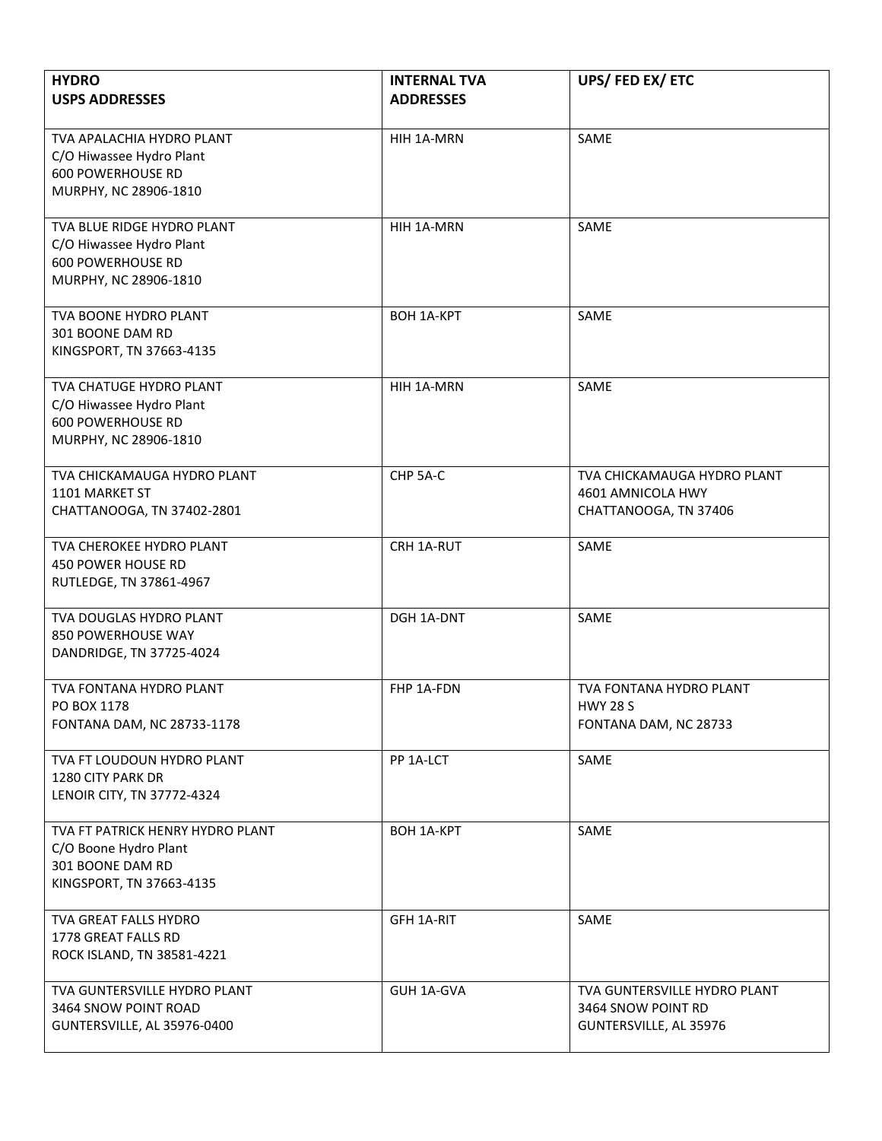| <b>HYDRO</b><br><b>USPS ADDRESSES</b>                                                                           | <b>INTERNAL TVA</b><br><b>ADDRESSES</b> | UPS/FED EX/ETC                                                               |
|-----------------------------------------------------------------------------------------------------------------|-----------------------------------------|------------------------------------------------------------------------------|
| TVA APALACHIA HYDRO PLANT<br>C/O Hiwassee Hydro Plant<br><b>600 POWERHOUSE RD</b><br>MURPHY, NC 28906-1810      | HIH 1A-MRN                              | SAME                                                                         |
| TVA BLUE RIDGE HYDRO PLANT<br>C/O Hiwassee Hydro Plant<br><b>600 POWERHOUSE RD</b><br>MURPHY, NC 28906-1810     | HIH 1A-MRN                              | SAME                                                                         |
| TVA BOONE HYDRO PLANT<br>301 BOONE DAM RD<br>KINGSPORT, TN 37663-4135                                           | <b>BOH 1A-KPT</b>                       | SAME                                                                         |
| <b>TVA CHATUGE HYDRO PLANT</b><br>C/O Hiwassee Hydro Plant<br><b>600 POWERHOUSE RD</b><br>MURPHY, NC 28906-1810 | HIH 1A-MRN                              | SAME                                                                         |
| TVA CHICKAMAUGA HYDRO PLANT<br>1101 MARKET ST<br>CHATTANOOGA, TN 37402-2801                                     | CHP 5A-C                                | TVA CHICKAMAUGA HYDRO PLANT<br>4601 AMNICOLA HWY<br>CHATTANOOGA, TN 37406    |
| TVA CHEROKEE HYDRO PLANT<br>450 POWER HOUSE RD<br>RUTLEDGE, TN 37861-4967                                       | CRH 1A-RUT                              | SAME                                                                         |
| TVA DOUGLAS HYDRO PLANT<br>850 POWERHOUSE WAY<br>DANDRIDGE, TN 37725-4024                                       | DGH 1A-DNT                              | SAME                                                                         |
| TVA FONTANA HYDRO PLANT<br>PO BOX 1178<br>FONTANA DAM, NC 28733-1178                                            | FHP 1A-FDN                              | TVA FONTANA HYDRO PLANT<br><b>HWY 28 S</b><br>FONTANA DAM, NC 28733          |
| TVA FT LOUDOUN HYDRO PLANT<br>1280 CITY PARK DR<br>LENOIR CITY, TN 37772-4324                                   | PP 1A-LCT                               | SAME                                                                         |
| TVA FT PATRICK HENRY HYDRO PLANT<br>C/O Boone Hydro Plant<br>301 BOONE DAM RD<br>KINGSPORT, TN 37663-4135       | <b>BOH 1A-KPT</b>                       | SAME                                                                         |
| TVA GREAT FALLS HYDRO<br>1778 GREAT FALLS RD<br>ROCK ISLAND, TN 38581-4221                                      | GFH 1A-RIT                              | SAME                                                                         |
| TVA GUNTERSVILLE HYDRO PLANT<br>3464 SNOW POINT ROAD<br>GUNTERSVILLE, AL 35976-0400                             | GUH 1A-GVA                              | TVA GUNTERSVILLE HYDRO PLANT<br>3464 SNOW POINT RD<br>GUNTERSVILLE, AL 35976 |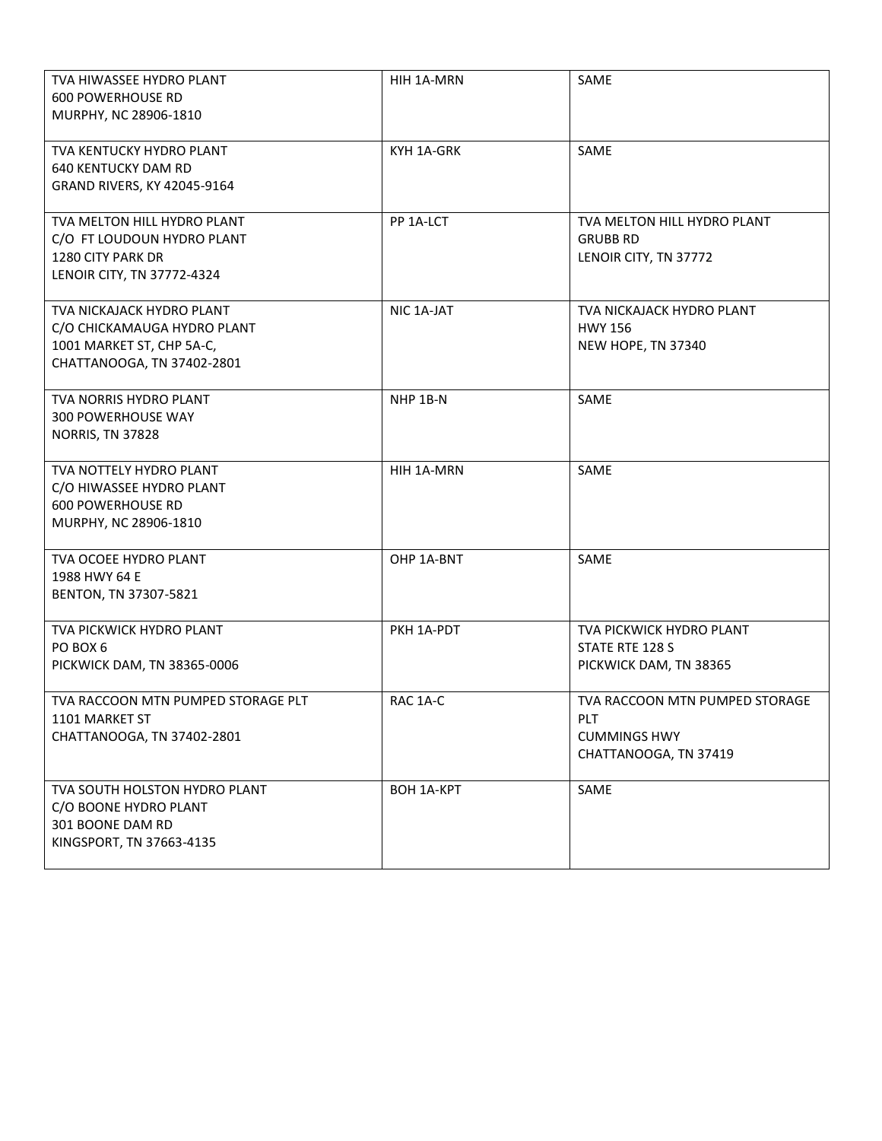| TVA HIWASSEE HYDRO PLANT<br><b>600 POWERHOUSE RD</b><br>MURPHY, NC 28906-1810                                       | HIH 1A-MRN        | SAME                                                                                  |
|---------------------------------------------------------------------------------------------------------------------|-------------------|---------------------------------------------------------------------------------------|
| TVA KENTUCKY HYDRO PLANT<br><b>640 KENTUCKY DAM RD</b><br>GRAND RIVERS, KY 42045-9164                               | KYH 1A-GRK        | SAME                                                                                  |
| TVA MELTON HILL HYDRO PLANT<br>C/O FT LOUDOUN HYDRO PLANT<br>1280 CITY PARK DR<br>LENOIR CITY, TN 37772-4324        | PP 1A-LCT         | TVA MELTON HILL HYDRO PLANT<br><b>GRUBB RD</b><br>LENOIR CITY, TN 37772               |
| TVA NICKAJACK HYDRO PLANT<br>C/O CHICKAMAUGA HYDRO PLANT<br>1001 MARKET ST, CHP 5A-C,<br>CHATTANOOGA, TN 37402-2801 | NIC 1A-JAT        | TVA NICKAJACK HYDRO PLANT<br><b>HWY 156</b><br>NEW HOPE, TN 37340                     |
| <b>TVA NORRIS HYDRO PLANT</b><br>300 POWERHOUSE WAY<br><b>NORRIS, TN 37828</b>                                      | NHP 1B-N          | SAME                                                                                  |
| TVA NOTTELY HYDRO PLANT<br>C/O HIWASSEE HYDRO PLANT<br><b>600 POWERHOUSE RD</b><br>MURPHY, NC 28906-1810            | HIH 1A-MRN        | SAME                                                                                  |
| TVA OCOEE HYDRO PLANT<br>1988 HWY 64 E<br>BENTON, TN 37307-5821                                                     | OHP 1A-BNT        | SAME                                                                                  |
| TVA PICKWICK HYDRO PLANT<br>PO BOX 6<br>PICKWICK DAM, TN 38365-0006                                                 | PKH 1A-PDT        | TVA PICKWICK HYDRO PLANT<br>STATE RTE 128 S<br>PICKWICK DAM, TN 38365                 |
| TVA RACCOON MTN PUMPED STORAGE PLT<br>1101 MARKET ST<br>CHATTANOOGA, TN 37402-2801                                  | RAC 1A-C          | TVA RACCOON MTN PUMPED STORAGE<br>PLT<br><b>CUMMINGS HWY</b><br>CHATTANOOGA, TN 37419 |
| TVA SOUTH HOLSTON HYDRO PLANT<br>C/O BOONE HYDRO PLANT<br>301 BOONE DAM RD<br>KINGSPORT, TN 37663-4135              | <b>BOH 1A-KPT</b> | SAME                                                                                  |